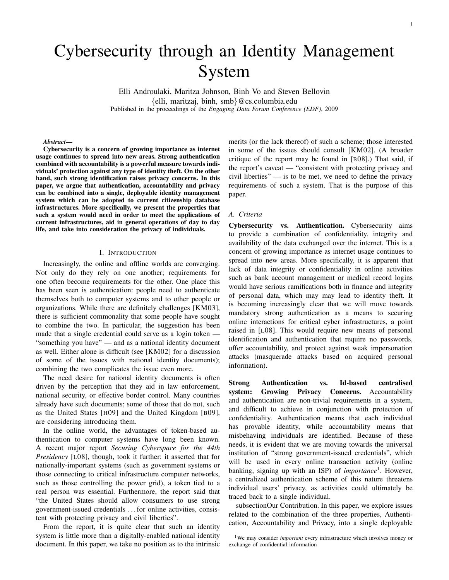1

# Cybersecurity through an Identity Management System

Elli Androulaki, Maritza Johnson, Binh Vo and Steven Bellovin {elli, maritzaj, binh, smb}@cs.columbia.edu Published in the proceedings of the *Engaging Data Forum Conference (EDF)*, 2009

#### *Abstract*—

Cybersecurity is a concern of growing importance as internet usage continues to spread into new areas. Strong authentication combined with accountability is a powerful measure towards individuals' protection against any type of identity theft. On the other hand, such strong identification raises privacy concerns. In this paper, we argue that authentication, accountability and privacy can be combined into a single, deployable identity management system which can be adopted to current citizenship database infrastructures. More specifically, we present the properties that such a system would need in order to meet the applications of current infrastructures, aid in general operations of day to day life, and take into consideration the privacy of individuals.

#### I. INTRODUCTION

Increasingly, the online and offline worlds are converging. Not only do they rely on one another; requirements for one often become requirements for the other. One place this has been seen is authentication: people need to authenticate themselves both to computer systems and to other people or organizations. While there are definitely challenges [KM03], there is sufficient commonality that some people have sought to combine the two. In particular, the suggestion has been made that a single credential could serve as a login token — "something you have" — and as a national identity document as well. Either alone is difficult (see [KM02] for a discussion of some of the issues with national identity documents); combining the two complicates the issue even more.

The need desire for national identity documents is often driven by the perception that they aid in law enforcement, national security, or effective border control. Many countries already have such documents; some of those that do not, such as the United States [H09] and the United Kingdom [B09], are considering introducing them.

In the online world, the advantages of token-based authentication to computer systems have long been known. A recent major report *Securing Cyberspace for the 44th Presidency* [L08], though, took it further: it asserted that for nationally-important systems (such as government systems or those connecting to critical infrastructure computer networks, such as those controlling the power grid), a token tied to a real person was essential. Furthermore, the report said that "the United States should allow consumers to use strong government-issued credentials . . . for online activities, consistent with protecting privacy and civil liberties".

From the report, it is quite clear that such an identity system is little more than a digitally-enabled national identity document. In this paper, we take no position as to the intrinsic merits (or the lack thereof) of such a scheme; those interested in some of the issues should consult [KM02]. (A broader critique of the report may be found in [B08].) That said, if the report's caveat — "consistent with protecting privacy and civil liberties"  $-$  is to be met, we need to define the privacy requirements of such a system. That is the purpose of this paper.

#### *A. Criteria*

Cybersecurity vs. Authentication. Cybersecurity aims to provide a combination of confidentiality, integrity and availability of the data exchanged over the internet. This is a concern of growing importance as internet usage continues to spread into new areas. More specifically, it is apparent that lack of data integrity or confidentiality in online activities such as bank account management or medical record logins would have serious ramifications both in finance and integrity of personal data, which may may lead to identity theft. It is becoming increasingly clear that we will move towards mandatory strong authentication as a means to securing online interactions for critical cyber infrastructures, a point raised in [L08]. This would require new means of personal identification and authentication that require no passwords, offer accountability, and protect against weak impersonation attacks (masquerade attacks based on acquired personal information).

Strong Authentication vs. Id-based centralised system: Growing Privacy Concerns. Accountability and authentication are non-trivial requirements in a system, and difficult to achieve in conjunction with protection of confidentiality. Authentication means that each individual has provable identity, while accountability means that misbehaving individuals are identified. Because of these needs, it is evident that we are moving towards the universal institution of "strong government-issued credentials", which will be used in every online transaction activity (online banking, signing up with an ISP) of *importance*<sup>1</sup> . However, a centralized authentication scheme of this nature threatens individual users' privacy, as activities could ultimately be traced back to a single individual.

subsectionOur Contribution. In this paper, we explore issues related to the combination of the three properties, Authentication, Accountability and Privacy, into a single deployable

<sup>1</sup>We may consider *important* every infrastructure which involves money or exchange of confidential information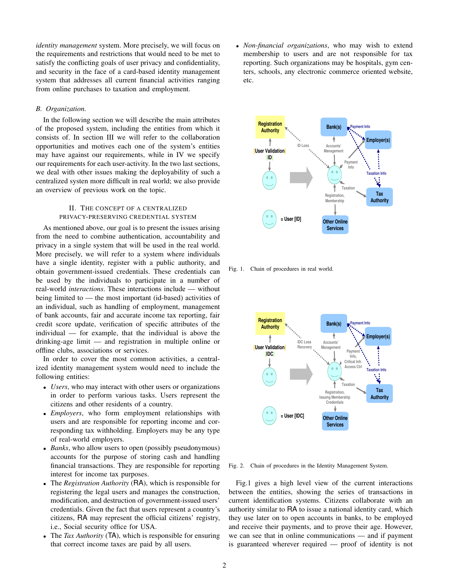*identity management* system. More precisely, we will focus on the requirements and restrictions that would need to be met to satisfy the conflicting goals of user privacy and confidentiality, and security in the face of a card-based identity management system that addresses all current financial activities ranging from online purchases to taxation and employment.

## *B. Organization.*

In the following section we will describe the main attributes of the proposed system, including the entities from which it consists of. In section III we will refer to the collaboration opportunities and motives each one of the system's entities may have against our requirements, while in IV we specify our requirements for each user-activity. In the two last sections, we deal with other issues making the deployability of such a centralized systen more difficult in real world; we also provide an overview of previous work on the topic.

## II. THE CONCEPT OF A CENTRALIZED PRIVACY-PRESERVING CREDENTIAL SYSTEM

As mentioned above, our goal is to present the issues arising from the need to combine authentication, accountability and privacy in a single system that will be used in the real world. More precisely, we will refer to a system where individuals have a single identity, register with a public authority, and obtain government-issued credentials. These credentials can be used by the individuals to participate in a number of real-world *interactions*. These interactions include — without being limited to — the most important (id-based) activities of an individual, such as handling of employment, management of bank accounts, fair and accurate income tax reporting, fair credit score update, verification of specific attributes of the individual — for example, that the individual is above the drinking-age limit — and registration in multiple online or offline clubs, associations or services.

In order to cover the most common activities, a centralized identity management system would need to include the following entities:

- *Users*, who may interact with other users or organizations in order to perform various tasks. Users represent the citizens and other residents of a country.
- *Employers*, who form employment relationships with users and are responsible for reporting income and corresponding tax withholding. Employers may be any type of real-world employers.
- *Banks*, who allow users to open (possibly pseudonymous) accounts for the purpose of storing cash and handling financial transactions. They are responsible for reporting interest for income tax purposes.
- The *Registration Authority* (RA), which is responsible for registering the legal users and manages the construction, modification, and destruction of government-issued users' credentials. Given the fact that users represent a country's citizens, RA may represent the official citizens' registry, i.e., Social security office for USA.
- The *Tax Authority* (TA), which is responsible for ensuring that correct income taxes are paid by all users.

• *Non-financial organizations*, who may wish to extend membership to users and are not responsible for tax reporting. Such organizations may be hospitals, gym centers, schools, any electronic commerce oriented website, etc.



Fig. 1. Chain of procedures in real world.



Fig. 2. Chain of procedures in the Identity Management System.

Fig.1 gives a high level view of the current interactions between the entities, showing the series of transactions in current identification systems. Citizens collaborate with an authority similar to RA to issue a national identity card, which they use later on to open accounts in banks, to be employed and receive their payments, and to prove their age. However, we can see that in online communications — and if payment is guaranteed wherever required — proof of identity is not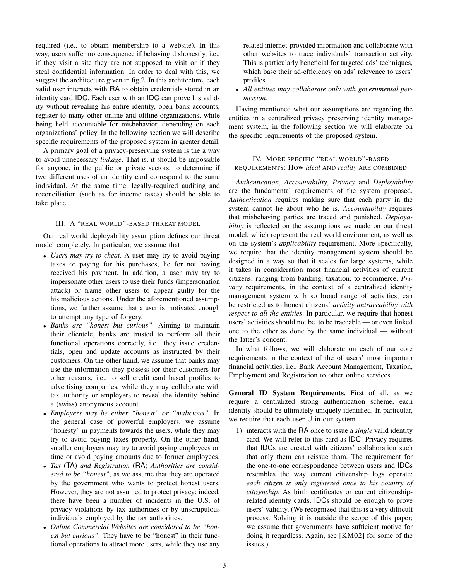required (i.e., to obtain membership to a website). In this way, users suffer no consequence if behaving dishonestly, i.e., if they visit a site they are not supposed to visit or if they steal confidential information. In order to deal with this, we suggest the architecture given in fig.2. In this architecture, each valid user interacts with RA to obtain credentials stored in an identity card IDC. Each user with an IDC can prove his validity without revealing his entire identity, open bank accounts, register to many other online and offline organizations, while being held accountable for misbehavior, depending on each organizations' policy. In the following section we will describe specific requirements of the proposed system in greater detail.

A primary goal of a privacy-preserving system is the a way to avoid unnecessary *linkage*. That is, it should be impossible for anyone, in the public or private sectors, to determine if two different uses of an identity card correspond to the same individual. At the same time, legally-required auditing and reconciliation (such as for income taxes) should be able to take place.

## III. A "REAL WORLD"-BASED THREAT MODEL

Our real world deployability assumption defines our threat model completely. In particular, we assume that

- *Users may try to cheat.* A user may try to avoid paying taxes or paying for his purchases, lie for not having received his payment. In addition, a user may try to impersonate other users to use their funds (impersonation attack) or frame other users to appear guilty for the his malicious actions. Under the aforementioned assumptions, we further assume that a user is motivated enough to attempt any type of forgery.
- *Banks are "honest but curious".* Aiming to maintain their clientele, banks are trusted to perform all their functional operations correctly, i.e., they issue credentials, open and update accounts as instructed by their customers. On the other hand, we assume that banks may use the information they possess for their customers for other reasons, i.e., to sell credit card based profiles to advertising companies, while they may collaborate with tax authority or employers to reveal the identity behind a (swiss) anonymous account.
- *Employers may be either "honest" or "malicious".* In the general case of powerful employers, we assume "honesty" in payments towards the users, while they may try to avoid paying taxes properly. On the other hand, smaller employers may try to avoid paying employees on time or avoid paying amounts due to former employees.
- *Tax* (TA) *and Registration* (RA) *Authorities are considered to be "honest"*, as we assume that they are operated by the government who wants to protect honest users. However, they are not assumed to protect privacy; indeed, there have been a number of incidents in the U.S. of privacy violations by tax authorities or by unscrupulous individuals employed by the tax authorities.
- *Online Commercial Websites are considered to be "honest but curious".* They have to be "honest" in their functional operations to attract more users, while they use any

related internet-provided information and collaborate with other websites to trace individuals' transaction activity. This is particularly beneficial for targeted ads' techniques, which base their ad-efficiency on ads' relevence to users' profiles.

• *All entities may collaborate only with governmental permission.*

Having mentioned what our assumptions are regarding the entities in a centralized privacy preserving identity management system, in the following section we will elaborate on the specific requirements of the proposed system.

## IV. MORE SPECIFIC "REAL WORLD"-BASED REQUIREMENTS: HOW *ideal* AND *reality* ARE COMBINED

*Authentication*, *Accountability*, *Privacy* and *Deployability* are the fundamental requirements of the system proposed. *Authentication* requires making sure that each party in the system cannot lie about who he is. *Accountability* requires that misbehaving parties are traced and punished. *Deployability* is reflected on the assumptions we made on our threat model, which represent the real world environment, as well as on the system's *applicability* requirement. More specifically, we require that the identity management system should be designed in a way so that it scales for large systems, while it takes in consideration most financial activities of current citizens, ranging from banking, taxation, to ecommerce. *Privacy* requirements, in the context of a centralized identity management system with so broad range of activities, can be restricted as to honest citizens' *activity untraceability with respect to all the entities*. In particular, we require that honest users' activities should not be to be traceable — or even linked one to the other as done by the same individual — without the latter's concent.

In what follows, we will elaborate on each of our core requirements in the context of the of users' most importatn financial activities, i.e., Bank Account Management, Taxation, Employment and Registration to other online services.

General ID System Requirements. First of all, as we require a centralized strong authentication scheme, each identity should be ultimately uniquely identified. In particular, we require that each user U in our system

1) interacts with the RA *o*nce to issue a *single* valid identity card. We will refer to this card as IDC. Privacy requires that IDCs are created with citizens' collaboration such that only them can reissue tham. The requirement for the one-to-one correspondence between users and IDCs resembles the way current citizenship logs operate: *each citizen is only registered once to his country of citizenship.* As birth certificates or current citizenshiprelated identity cards, IDCs should be enough to prove users' validity. (We recognized that this is a very difficult process. Solving it is outside the scope of this paper; we assume that governments have sufficient motive for doing it reqardless. Again, see [KM02] for some of the issues.)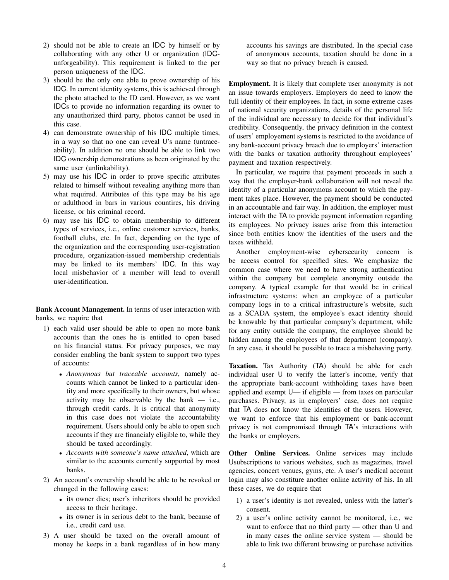- 2) should not be able to create an IDC by himself or by collaborating with any other U or organization (IDCunforgeability). This requirement is linked to the per person uniqueness of the IDC.
- 3) should be the only one able to prove ownership of his IDC. In current identity systems, this is achieved through the photo attached to the ID card. However, as we want IDCs to provide no information regarding its owner to any unauthorized third party, photos cannot be used in this case.
- 4) can demonstrate ownership of his IDC multiple times, in a way so that no one can reveal U's name (untraceability). In addition no one should be able to link two IDC ownership demonstrations as been originated by the same user (unlinkability).
- 5) may use his IDC in order to prove specific attributes related to himself without revealing anything more than what required. Attributes of this type may be his age or adulthood in bars in various countires, his driving license, or his criminal record.
- 6) may use his IDC to obtain membership to different types of services, i.e., online customer services, banks, football clubs, etc. In fact, depending on the type of the organization and the corresponding user-registration procedure, organization-issued membership credentials may be linked to its members' IDC. In this way local misbehavior of a member will lead to overall user-identification.

Bank Account Management. In terms of user interaction with banks, we require that

- 1) each valid user should be able to open no more bank accounts than the ones he is entitled to open based on his financial status. For privacy purposes, we may consider enabling the bank system to support two types of accounts:
	- *Anonymous but traceable accounts*, namely accounts which cannot be linked to a particular identity and more specifically to their owners, but whose activity may be observable by the bank — i.e., through credit cards. It is critical that anonymity in this case does not violate the accountability requirement. Users should only be able to open such accounts if they are financialy eligible to, while they should be taxed accordingly.
	- *Accounts with someone's name attached*, which are similar to the accounts currently supported by most banks.
- 2) An account's ownership should be able to be revoked or changed in the following cases:
	- its owner dies; user's inheritors should be provided access to their heritage.
	- its owner is in serious debt to the bank, because of i.e., credit card use.
- 3) A user should be taxed on the overall amount of money he keeps in a bank regardless of in how many

accounts his savings are distributed. In the special case of anonymous accounts, taxation should be done in a way so that no privacy breach is caused.

Employment. It is likely that complete user anonymity is not an issue towards employers. Employers do need to know the full identity of their employees. In fact, in some extreme cases of national security organizations, details of the personal life of the individual are necessary to decide for that individual's credibility. Consequently, the privacy definition in the context of users' employement systems is restricted to the avoidance of any bank-account privacy breach due to employers' interaction with the banks or taxation authority throughout employees' payment and taxation respectively.

In particular, we require that payment proceeds in such a way that the employer-bank collaboration will not reveal the identity of a particular anonymous account to which the payment takes place. However, the payment should be conducted in an accountable and fair way. In addition, the employer must interact with the TA to provide payment information regarding its employees. No privacy issues arise from this interaction since both entities know the identities of the users and the taxes withheld.

Another employment-wise cybersecurity concern is be access control for specified sites. We emphasize the common case where we need to have strong authentication within the company but complete anonymity outside the company. A typical example for that would be in critical infrastructure systems: when an employee of a particular company logs in to a critical infrastructure's website, such as a SCADA system, the employee's exact identity should be knowable by that particular company's department, while for any entity outside the company, the employee should be hidden among the employees of that department (company). In any case, it should be possible to trace a misbehaving party.

Taxation. Tax Authority (TA) should be able for each individual user U to verify the latter's income, verify that the appropriate bank-account withholding taxes have been applied and exempt U— if eligible — from taxes on particular purchases. Privacy, as in employers' case, does not require that TA does not know the identities of the users. However, we want to enforce that his employment or bank-account privacy is not compromised through TA's interactions with the banks or employers.

Other Online Services. Online services may include Usubscriptions to various websites, such as magazines, travel agencies, concert venues, gyms, etc. A user's medical account login may also constiture another online activity of his. In all these cases, we do require that

- 1) a user's identity is not revealed, unless with the latter's consent.
- 2) a user's online activity cannot be monitored, i.e., we want to enforce that no third party — other than U and in many cases the online service system — should be able to link two different browsing or purchase activities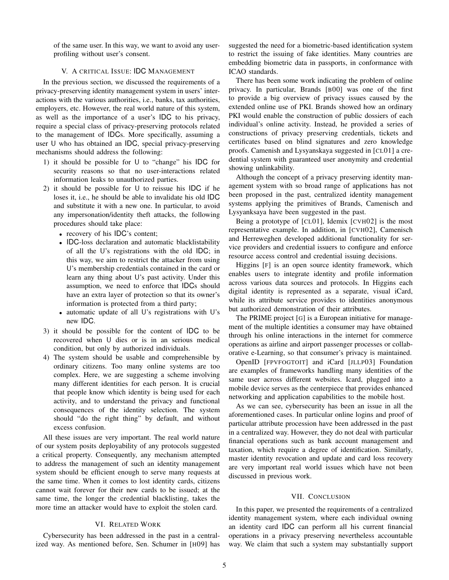of the same user. In this way, we want to avoid any userprofiling without user's consent.

#### V. A CRITICAL ISSUE: IDC MANAGEMENT

In the previous section, we discussed the requirements of a privacy-preserving identity management system in users' interactions with the various authorities, i.e., banks, tax authorities, employers, etc. However, the real world nature of this system, as well as the importance of a user's IDC to his privacy, require a special class of privacy-preserving protocols related to the management of IDCs. More specifically, assuming a user U who has obtained an IDC, special privacy-preserving mechanisms should address the following:

- 1) it should be possible for U to "change" his IDC for security reasons so that no user-interactions related information leaks to unauthorized parties.
- 2) it should be possible for U to reissue his IDC if he loses it, i.e., he should be able to invalidate his old IDC and substitute it with a new one. In particular, to avoid any impersonation/identity theft attacks, the following procedures should take place:
	- recovery of his IDC's content;
	- IDC-loss declaration and automatic blacklistability of all the U's registrations with the old IDC; in this way, we aim to restrict the attacker from using U's membership credentials contained in the card or learn any thing about U's past activity. Under this assumption, we need to enforce that IDCs should have an extra layer of protection so that its owner's information is protected from a third party;
	- automatic update of all U's registrations with U's new IDC.
- 3) it should be possible for the content of IDC to be recovered when U dies or is in an serious medical condition, but only by authorized individuals.
- 4) The system should be usable and comprehensible by ordinary citizens. Too many online systems are too complex. Here, we are suggesting a scheme involving many different identities for each person. It is crucial that people know which identity is being used for each activity, and to understand the privacy and functional consequences of the identity selection. The system should "do the right thing" by default, and without excess confusion.

All these issues are very important. The real world nature of our system posits deployability of any protocols suggested a critical property. Consequently, any mechanism attempted to address the management of such an identity management system should be efficient enough to serve many requests at the same time. When it comes to lost identity cards, citizens cannot wait forever for their new cards to be issued; at the same time, the longer the credential blacklisting, takes the more time an attacker would have to exploit the stolen card.

# VI. RELATED WORK

Cybersecurity has been addressed in the past in a centralized way. As mentioned before, Sen. Schumer in [H09] has suggested the need for a biometric-based identification system to restrict the issuing of fake identities. Many countries are embedding biometric data in passports, in conformance with ICAO standards.

There has been some work indicating the problem of online privacy. In particular, Brands [B00] was one of the first to provide a big overview of privacy issues caused by the extended online use of PKI. Brands showed how an ordinary PKI would enable the construction of public dossiers of each individual's online activity. Instead, he provided a series of constructions of privacy preserving credentials, tickets and certificates based on blind signatures and zero knowledge proofs. Camenish and Lysyanskaya suggested in [CL01] a credential system with guaranteed user anonymity and credential showing unlinkability.

Although the concept of a privacy preserving identity management system with so broad range of applications has not been proposed in the past, centralized identity management systems applying the primitives of Brands, Camenisch and Lysyanksaya have been suggested in the past.

Being a prototype of [CL01], Idemix [CVH02] is the most representative example. In addition, in [CVH02], Camenisch and Herreweghen developed additional functionality for service providers and credential issuers to configure and enforce resource access control and credential issuing decisions.

Higgins [F] is an open source identity framework, which enables users to integrate identity and profile information across various data sources and protocols. In Higgins each digital identity is represented as a separate, visual iCard, while its attribute service provides to identities anonymous but authorized demonstration of their attributes.

The PRIME project [G] is a European initiative for management of the multiple identities a consumer may have obtained through his online interactions in the internet for commerce operations as airline and airport passenger processes or collaborative e-Learning, so that consumer's privacy is maintained.

OpenID [FPVFOGTOIT] and iCard [JLLP03] Foundation are examples of frameworks handling many identities of the same user across different websites. Icard, plugged into a mobile device serves as the centerpiece that provides enhanced networking and application capabilities to the mobile host.

As we can see, cybersecurity has been an issue in all the aforementioned cases. In particular online logins and proof of particular attribute procession have been addressed in the past in a centralized way. However, they do not deal with particular financial operations such as bank account management and taxation, which require a degree of identification. Similarly, master identity revocation and update and card loss recovery are very important real world issues which have not been discussed in previous work.

#### VII. CONCLUSION

In this paper, we presented the requirements of a centralized identity management system, where each individual owning an identity card IDC can perform all his current financial operations in a privacy preserving nevertheless accountable way. We claim that such a system may substantially support